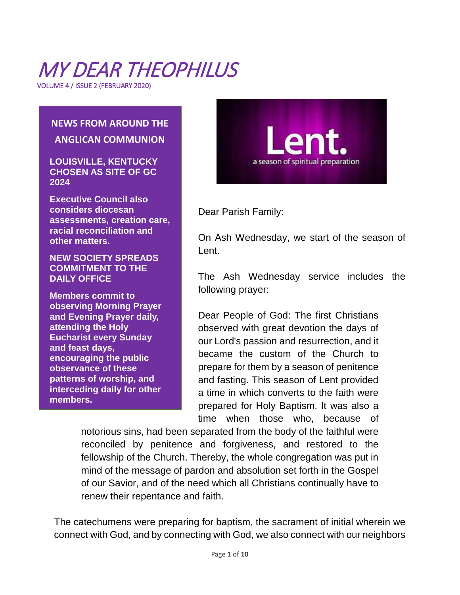# MY DEAR THEOPHILUS

VOLUME 4 / ISSUE 2 (FEBRUARY 2020)

### **NEWS FROM AROUND THE ANGLICAN COMMUNION**

**[LOUISVILLE, KENTUCKY](https://livingchurch.org/2020/02/17/louisville-kentucky-chosen-as-site-of-gc-2024/) [CHOSEN AS SITE OF GC](https://livingchurch.org/2020/02/17/louisville-kentucky-chosen-as-site-of-gc-2024/) [2024](https://livingchurch.org/2020/02/17/louisville-kentucky-chosen-as-site-of-gc-2024/)**

**Executive Council also considers diocesan assessments, creation care, racial reconciliation and other matters.**

**NEW SOCIETY SPREADS COMMITMENT TO THE DAILY OFFICE**

**Members commit to observing Morning Prayer and Evening Prayer daily, attending the Holy Eucharist every Sunday and feast days, encouraging the public observance of these patterns of worship, and interceding daily for other members.**



Dear Parish Family:

On Ash Wednesday, we start of the season of Lent.

The Ash Wednesday service includes the following prayer:

Dear People of God: The first Christians observed with great devotion the days of our Lord's passion and resurrection, and it became the custom of the Church to prepare for them by a season of penitence and fasting. This season of Lent provided a time in which converts to the faith were prepared for Holy Baptism. It was also a time when those who, because of

notorious sins, had been separated from the body of the faithful were reconciled by penitence and forgiveness, and restored to the fellowship of the Church. Thereby, the whole congregation was put in mind of the message of pardon and absolution set forth in the Gospel of our Savior, and of the need which all Christians continually have to renew their repentance and faith.

The catechumens were preparing for baptism, the sacrament of initial wherein we connect with God, and by connecting with God, we also connect with our neighbors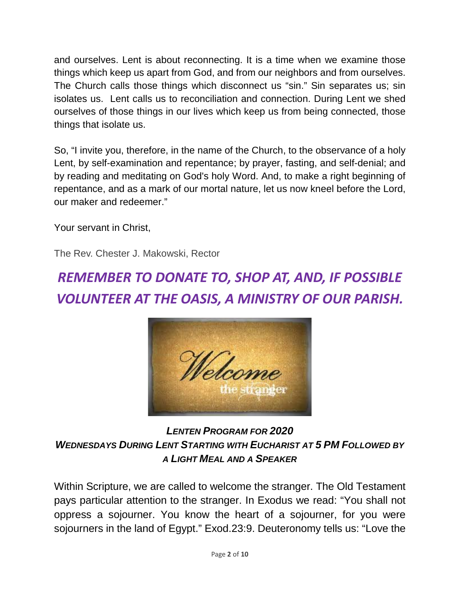and ourselves. Lent is about reconnecting. It is a time when we examine those things which keep us apart from God, and from our neighbors and from ourselves. The Church calls those things which disconnect us "sin." Sin separates us; sin isolates us. Lent calls us to reconciliation and connection. During Lent we shed ourselves of those things in our lives which keep us from being connected, those things that isolate us.

So, "I invite you, therefore, in the name of the Church, to the observance of a holy Lent, by self-examination and repentance; by prayer, fasting, and self-denial; and by reading and meditating on God's holy Word. And, to make a right beginning of repentance, and as a mark of our mortal nature, let us now kneel before the Lord, our maker and redeemer."

Your servant in Christ,

The Rev. Chester J. Makowski, Rector

# *REMEMBER TO DONATE TO, SHOP AT, AND, IF POSSIBLE VOLUNTEER AT THE OASIS, A MINISTRY OF OUR PARISH.*



### *LENTEN PROGRAM FOR 2020 WEDNESDAYS DURING LENT STARTING WITH EUCHARIST AT 5 PM FOLLOWED BY A LIGHT MEAL AND A SPEAKER*

Within Scripture, we are called to welcome the stranger. The Old Testament pays particular attention to the stranger. In Exodus we read: "You shall not oppress a sojourner. You know the heart of a sojourner, for you were sojourners in the land of Egypt." Exod.23:9. Deuteronomy tells us: "Love the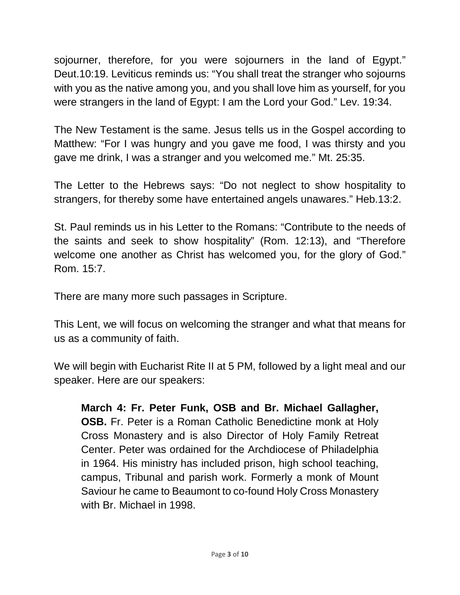sojourner, therefore, for you were sojourners in the land of Egypt." Deut.10:19. Leviticus reminds us: "You shall treat the stranger who sojourns with you as the native among you, and you shall love him as yourself, for you were strangers in the land of Egypt: I am the Lord your God." Lev. 19:34.

The New Testament is the same. Jesus tells us in the Gospel according to Matthew: "For I was hungry and you gave me food, I was thirsty and you gave me drink, I was a stranger and you welcomed me." Mt. 25:35.

The Letter to the Hebrews says: "Do not neglect to show hospitality to strangers, for thereby some have entertained angels unawares." Heb.13:2.

St. Paul reminds us in his Letter to the Romans: "Contribute to the needs of the saints and seek to show hospitality" (Rom. 12:13), and "Therefore welcome one another as Christ has welcomed you, for the glory of God." Rom. 15:7.

There are many more such passages in Scripture.

This Lent, we will focus on welcoming the stranger and what that means for us as a community of faith.

We will begin with Eucharist Rite II at 5 PM, followed by a light meal and our speaker. Here are our speakers:

**March 4: Fr. Peter Funk, OSB and Br. Michael Gallagher, OSB.** Fr. Peter is a Roman Catholic Benedictine monk at Holy Cross Monastery and is also Director of Holy Family Retreat Center. Peter was ordained for the Archdiocese of Philadelphia in 1964. His ministry has included prison, high school teaching, campus, Tribunal and parish work. Formerly a monk of Mount Saviour he came to Beaumont to co-found Holy Cross Monastery with Br. Michael in 1998.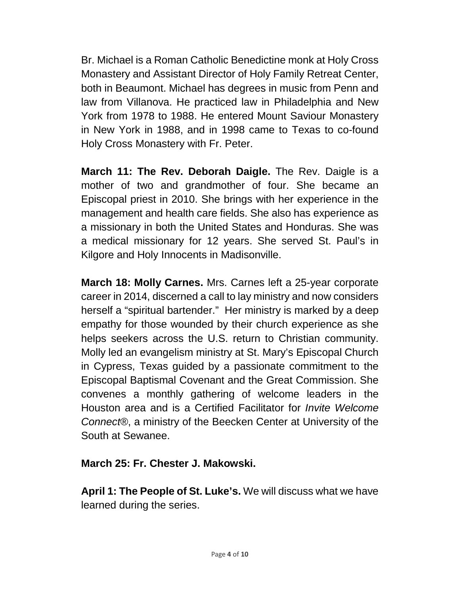Br. Michael is a Roman Catholic Benedictine monk at Holy Cross Monastery and Assistant Director of Holy Family Retreat Center, both in Beaumont. Michael has degrees in music from Penn and law from Villanova. He practiced law in Philadelphia and New York from 1978 to 1988. He entered Mount Saviour Monastery in New York in 1988, and in 1998 came to Texas to co-found Holy Cross Monastery with Fr. Peter.

**March 11: The Rev. Deborah Daigle.** The Rev. Daigle is a mother of two and grandmother of four. She became an Episcopal priest in 2010. She brings with her experience in the management and health care fields. She also has experience as a missionary in both the United States and Honduras. She was a medical missionary for 12 years. She served St. Paul's in Kilgore and Holy Innocents in Madisonville.

**March 18: Molly Carnes.** Mrs. Carnes left a 25-year corporate career in 2014, discerned a call to lay ministry and now considers herself a "spiritual bartender." Her ministry is marked by a deep empathy for those wounded by their church experience as she helps seekers across the U.S. return to Christian community. Molly led an evangelism ministry at St. Mary's Episcopal Church in Cypress, Texas guided by a passionate commitment to the Episcopal Baptismal Covenant and the Great Commission. She convenes a monthly gathering of welcome leaders in the Houston area and is a Certified Facilitator for *Invite Welcome Connect*®, a ministry of the Beecken Center at University of the South at Sewanee.

**March 25: Fr. Chester J. Makowski.**

**April 1: The People of St. Luke's.** We will discuss what we have learned during the series.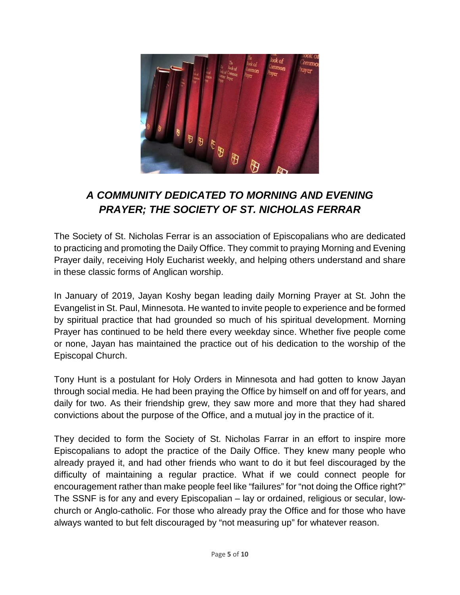

### *A COMMUNITY DEDICATED TO MORNING AND EVENING PRAYER; THE SOCIETY OF ST. NICHOLAS FERRAR*

The Society of St. Nicholas Ferrar is an association of Episcopalians who are dedicated to practicing and promoting the Daily Office. They commit to praying Morning and Evening Prayer daily, receiving Holy Eucharist weekly, and helping others understand and share in these classic forms of Anglican worship.

In January of 2019, Jayan Koshy began leading daily Morning Prayer at St. John the Evangelist in St. Paul, Minnesota. He wanted to invite people to experience and be formed by spiritual practice that had grounded so much of his spiritual development. Morning Prayer has continued to be held there every weekday since. Whether five people come or none, Jayan has maintained the practice out of his dedication to the worship of the Episcopal Church.

Tony Hunt is a postulant for Holy Orders in Minnesota and had gotten to know Jayan through social media. He had been praying the Office by himself on and off for years, and daily for two. As their friendship grew, they saw more and more that they had shared convictions about the purpose of the Office, and a mutual joy in the practice of it.

They decided to form the Society of St. Nicholas Farrar in an effort to inspire more Episcopalians to adopt the practice of the Daily Office. They knew many people who already prayed it, and had other friends who want to do it but feel discouraged by the difficulty of maintaining a regular practice. What if we could connect people for encouragement rather than make people feel like "failures" for "not doing the Office right?" The SSNF is for any and every Episcopalian – lay or ordained, religious or secular, lowchurch or Anglo-catholic. For those who already pray the Office and for those who have always wanted to but felt discouraged by "not measuring up" for whatever reason.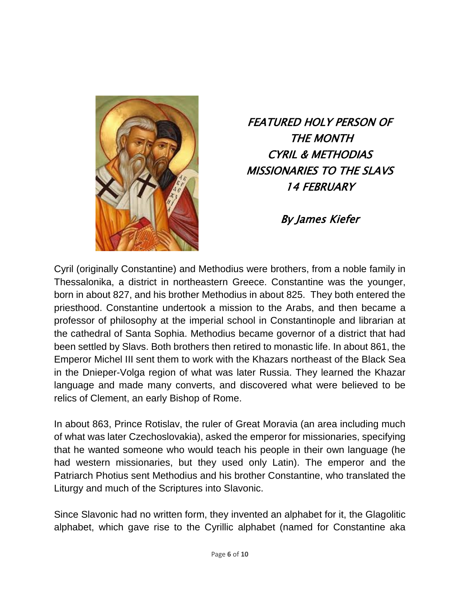

FEATURED HOLY PERSON OF THE MONTH CYRIL & METHODIAS MISSIONARIES TO THE SLAVS 14 FEBRUARY

By James Kiefer

Cyril (originally Constantine) and Methodius were brothers, from a noble family in Thessalonika, a district in northeastern Greece. Constantine was the younger, born in about 827, and his brother Methodius in about 825. They both entered the priesthood. Constantine undertook a mission to the Arabs, and then became a professor of philosophy at the imperial school in Constantinople and librarian at the cathedral of Santa Sophia. Methodius became governor of a district that had been settled by Slavs. Both brothers then retired to monastic life. In about 861, the Emperor Michel III sent them to work with the Khazars northeast of the Black Sea in the Dnieper-Volga region of what was later Russia. They learned the Khazar language and made many converts, and discovered what were believed to be relics of Clement, an early Bishop of Rome.

In about 863, Prince Rotislav, the ruler of Great Moravia (an area including much of what was later Czechoslovakia), asked the emperor for missionaries, specifying that he wanted someone who would teach his people in their own language (he had western missionaries, but they used only Latin). The emperor and the Patriarch Photius sent Methodius and his brother Constantine, who translated the Liturgy and much of the Scriptures into Slavonic.

Since Slavonic had no written form, they invented an alphabet for it, the Glagolitic alphabet, which gave rise to the Cyrillic alphabet (named for Constantine aka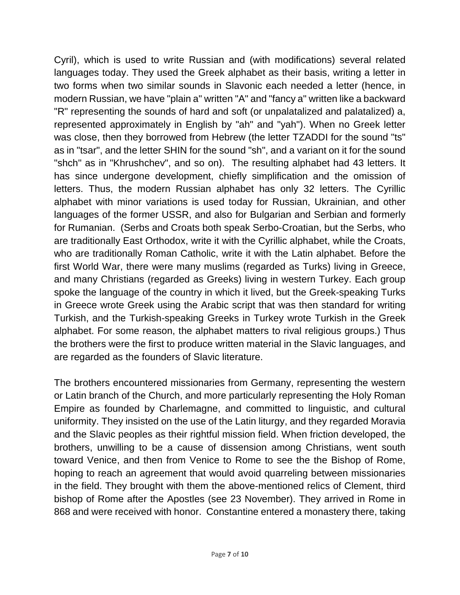Cyril), which is used to write Russian and (with modifications) several related languages today. They used the Greek alphabet as their basis, writing a letter in two forms when two similar sounds in Slavonic each needed a letter (hence, in modern Russian, we have "plain a" written "A" and "fancy a" written like a backward "R" representing the sounds of hard and soft (or unpalatalized and palatalized) a, represented approximately in English by "ah" and "yah"). When no Greek letter was close, then they borrowed from Hebrew (the letter TZADDI for the sound "ts" as in "tsar", and the letter SHIN for the sound "sh", and a variant on it for the sound "shch" as in "Khrushchev", and so on). The resulting alphabet had 43 letters. It has since undergone development, chiefly simplification and the omission of letters. Thus, the modern Russian alphabet has only 32 letters. The Cyrillic alphabet with minor variations is used today for Russian, Ukrainian, and other languages of the former USSR, and also for Bulgarian and Serbian and formerly for Rumanian. (Serbs and Croats both speak Serbo-Croatian, but the Serbs, who are traditionally East Orthodox, write it with the Cyrillic alphabet, while the Croats, who are traditionally Roman Catholic, write it with the Latin alphabet. Before the first World War, there were many muslims (regarded as Turks) living in Greece, and many Christians (regarded as Greeks) living in western Turkey. Each group spoke the language of the country in which it lived, but the Greek-speaking Turks in Greece wrote Greek using the Arabic script that was then standard for writing Turkish, and the Turkish-speaking Greeks in Turkey wrote Turkish in the Greek alphabet. For some reason, the alphabet matters to rival religious groups.) Thus the brothers were the first to produce written material in the Slavic languages, and are regarded as the founders of Slavic literature.

The brothers encountered missionaries from Germany, representing the western or Latin branch of the Church, and more particularly representing the Holy Roman Empire as founded by Charlemagne, and committed to linguistic, and cultural uniformity. They insisted on the use of the Latin liturgy, and they regarded Moravia and the Slavic peoples as their rightful mission field. When friction developed, the brothers, unwilling to be a cause of dissension among Christians, went south toward Venice, and then from Venice to Rome to see the the Bishop of Rome, hoping to reach an agreement that would avoid quarreling between missionaries in the field. They brought with them the above-mentioned relics of Clement, third bishop of Rome after the Apostles (see 23 November). They arrived in Rome in 868 and were received with honor. Constantine entered a monastery there, taking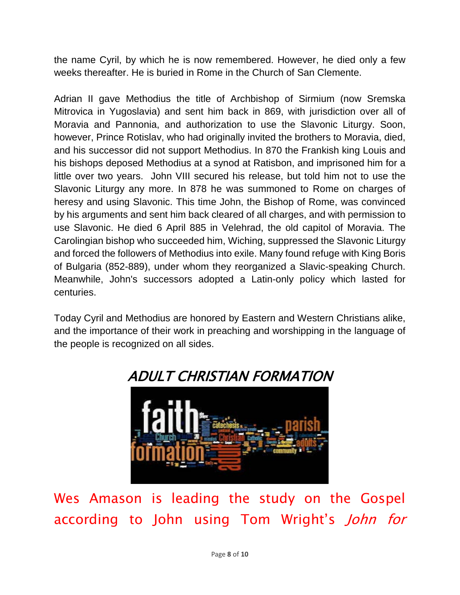the name Cyril, by which he is now remembered. However, he died only a few weeks thereafter. He is buried in Rome in the Church of San Clemente.

Adrian II gave Methodius the title of Archbishop of Sirmium (now Sremska Mitrovica in Yugoslavia) and sent him back in 869, with jurisdiction over all of Moravia and Pannonia, and authorization to use the Slavonic Liturgy. Soon, however, Prince Rotislav, who had originally invited the brothers to Moravia, died, and his successor did not support Methodius. In 870 the Frankish king Louis and his bishops deposed Methodius at a synod at Ratisbon, and imprisoned him for a little over two years. John VIII secured his release, but told him not to use the Slavonic Liturgy any more. In 878 he was summoned to Rome on charges of heresy and using Slavonic. This time John, the Bishop of Rome, was convinced by his arguments and sent him back cleared of all charges, and with permission to use Slavonic. He died 6 April 885 in Velehrad, the old capitol of Moravia. The Carolingian bishop who succeeded him, Wiching, suppressed the Slavonic Liturgy and forced the followers of Methodius into exile. Many found refuge with King Boris of Bulgaria (852-889), under whom they reorganized a Slavic-speaking Church. Meanwhile, John's successors adopted a Latin-only policy which lasted for centuries.

Today Cyril and Methodius are honored by Eastern and Western Christians alike, and the importance of their work in preaching and worshipping in the language of the people is recognized on all sides.



Wes Amason is leading the study on the Gospel according to John using Tom Wright's *John for*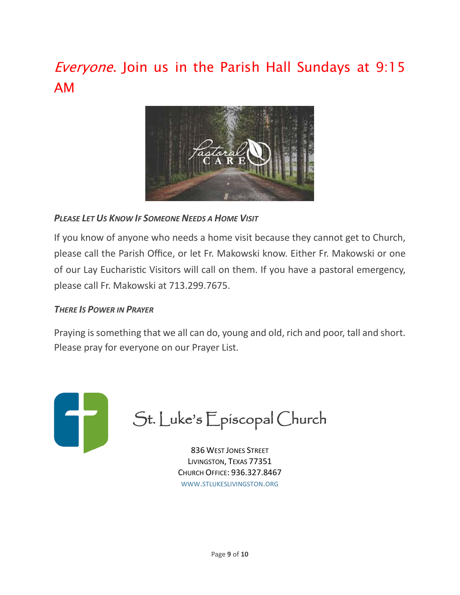# Everyone. Join us in the Parish Hall Sundays at 9:15 AM



#### *PLEASE LET US KNOW IF SOMEONE NEEDS A HOME VISIT*

If you know of anyone who needs a home visit because they cannot get to Church, please call the Parish Office, or let Fr. Makowski know. Either Fr. Makowski or one of our Lay Eucharistic Visitors will call on them. If you have a pastoral emergency, please call Fr. Makowski at 713.299.7675.

#### *THERE IS POWER IN PRAYER*

Praying is something that we all can do, young and old, rich and poor, tall and short. Please pray for everyone on our Prayer List.



836 WEST JONES STREET LIVINGSTON, TEXAS 77351 CHURCH OFFICE: 936.327.8467 WWW[.STLUKESLIVINGSTON.ORG](http://www.stlukeslivingston.org/)